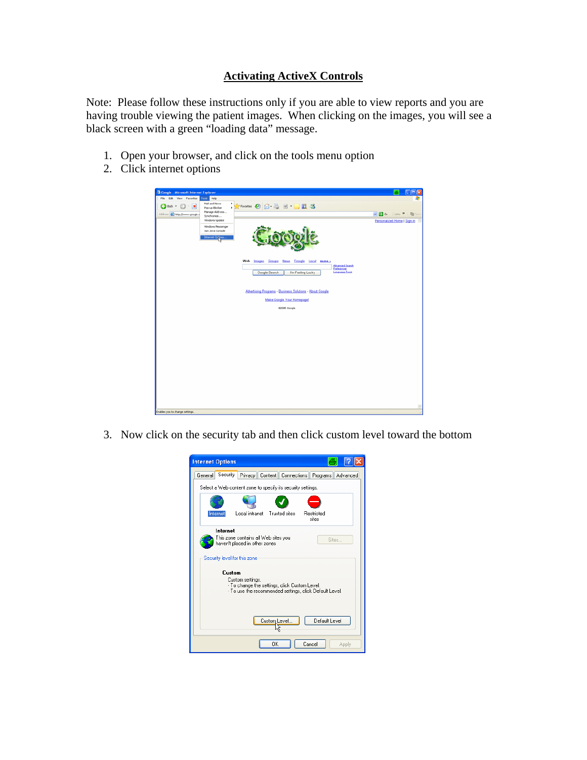## **Activating ActiveX Controls**

Note: Please follow these instructions only if you are able to view reports and you are having trouble viewing the patient images. When clicking on the images, you will see a black screen with a green "loading data" message.

- 1. Open your browser, and click on the tools menu option
- 2. Click internet options

| Google - Microsoft Internet Explorer                                                                           | - 6                                                         |
|----------------------------------------------------------------------------------------------------------------|-------------------------------------------------------------|
| Tools Help<br>Edit View Favorites<br>File                                                                      |                                                             |
| Mail and News<br><b>******* ● 8 8 日 日 11 3</b><br>$Q$ Back $\cdot$<br>$\mathbf{R}$<br>$\sim$<br>Pop-up Blocker |                                                             |
| Manage Add-ons<br>Address @ http://www.google.c                                                                | $\sim$ $\blacksquare$ $\sim$<br>Links <sup>30</sup>   Union |
| Synchronize<br>Windows Update                                                                                  | Personalized Home I Sign in                                 |
| Windows Messenger                                                                                              |                                                             |
| Sun Java Console                                                                                               |                                                             |
| Internet Options.                                                                                              |                                                             |
|                                                                                                                |                                                             |
|                                                                                                                |                                                             |
| Web Images Groups News Froagle Local more »<br><b>Advanced Search</b>                                          |                                                             |
| Preferencez<br><b>Language Tools</b><br>Google Search<br><b>Tm Feeling Lucky</b>                               |                                                             |
|                                                                                                                |                                                             |
| Advertising Programs - Business Solutions - About Google                                                       |                                                             |
| Make Google Your Homepage!                                                                                     |                                                             |
|                                                                                                                |                                                             |
| 02006 Google                                                                                                   |                                                             |
|                                                                                                                |                                                             |
|                                                                                                                |                                                             |
|                                                                                                                |                                                             |
|                                                                                                                |                                                             |
|                                                                                                                |                                                             |
|                                                                                                                |                                                             |
|                                                                                                                |                                                             |
|                                                                                                                |                                                             |
|                                                                                                                |                                                             |
|                                                                                                                |                                                             |
|                                                                                                                |                                                             |
|                                                                                                                |                                                             |
|                                                                                                                |                                                             |
| Enables you to change settings.                                                                                |                                                             |

3. Now click on the security tab and then click custom level toward the bottom